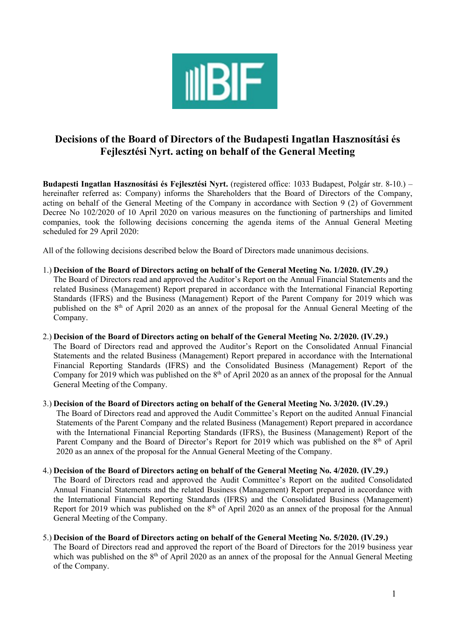

# Decisions of the Board of Directors of the Budapesti Ingatlan Hasznosítási és Fejlesztési Nyrt. acting on behalf of the General Meeting

Budapesti Ingatlan Hasznosítási és Fejlesztési Nyrt. (registered office: 1033 Budapest, Polgár str. 8-10.) – hereinafter referred as: Company) informs the Shareholders that the Board of Directors of the Company, acting on behalf of the General Meeting of the Company in accordance with Section 9 (2) of Government Decree No 102/2020 of 10 April 2020 on various measures on the functioning of partnerships and limited companies, took the following decisions concerning the agenda items of the Annual General Meeting scheduled for 29 April 2020:

All of the following decisions described below the Board of Directors made unanimous decisions.

# 1.) Decision of the Board of Directors acting on behalf of the General Meeting No. 1/2020. (IV.29.)

The Board of Directors read and approved the Auditor's Report on the Annual Financial Statements and the related Business (Management) Report prepared in accordance with the International Financial Reporting Standards (IFRS) and the Business (Management) Report of the Parent Company for 2019 which was published on the  $8<sup>th</sup>$  of April 2020 as an annex of the proposal for the Annual General Meeting of the Company.

# 2.) Decision of the Board of Directors acting on behalf of the General Meeting No. 2/2020. (IV.29.)

The Board of Directors read and approved the Auditor's Report on the Consolidated Annual Financial Statements and the related Business (Management) Report prepared in accordance with the International Financial Reporting Standards (IFRS) and the Consolidated Business (Management) Report of the Company for 2019 which was published on the  $8<sup>th</sup>$  of April 2020 as an annex of the proposal for the Annual General Meeting of the Company.

# 3.) Decision of the Board of Directors acting on behalf of the General Meeting No. 3/2020. (IV.29.)

The Board of Directors read and approved the Audit Committee's Report on the audited Annual Financial Statements of the Parent Company and the related Business (Management) Report prepared in accordance with the International Financial Reporting Standards (IFRS), the Business (Management) Report of the Parent Company and the Board of Director's Report for 2019 which was published on the 8<sup>th</sup> of April 2020 as an annex of the proposal for the Annual General Meeting of the Company.

# 4.) Decision of the Board of Directors acting on behalf of the General Meeting No. 4/2020. (IV.29.)

The Board of Directors read and approved the Audit Committee's Report on the audited Consolidated Annual Financial Statements and the related Business (Management) Report prepared in accordance with the International Financial Reporting Standards (IFRS) and the Consolidated Business (Management) Report for 2019 which was published on the  $8<sup>th</sup>$  of April 2020 as an annex of the proposal for the Annual General Meeting of the Company.

# 5.) Decision of the Board of Directors acting on behalf of the General Meeting No. 5/2020. (IV.29.)

The Board of Directors read and approved the report of the Board of Directors for the 2019 business year which was published on the 8<sup>th</sup> of April 2020 as an annex of the proposal for the Annual General Meeting of the Company.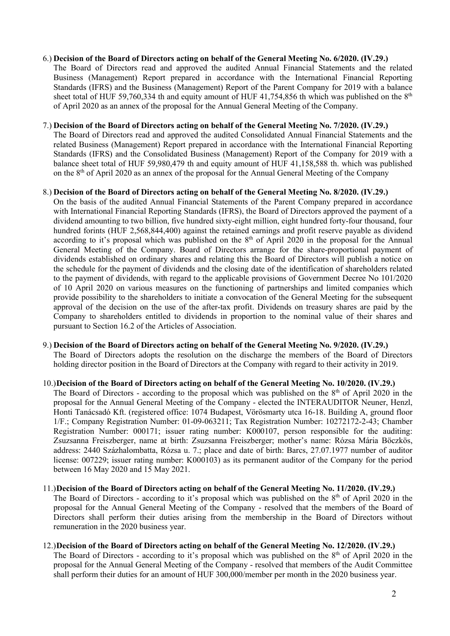#### 6.) Decision of the Board of Directors acting on behalf of the General Meeting No. 6/2020. (IV.29.)

The Board of Directors read and approved the audited Annual Financial Statements and the related Business (Management) Report prepared in accordance with the International Financial Reporting Standards (IFRS) and the Business (Management) Report of the Parent Company for 2019 with a balance sheet total of HUF 59,760,334 th and equity amount of HUF 41,754,856 th which was published on the  $8<sup>th</sup>$ of April 2020 as an annex of the proposal for the Annual General Meeting of the Company.

#### 7.) Decision of the Board of Directors acting on behalf of the General Meeting No. 7/2020. (IV.29.)

The Board of Directors read and approved the audited Consolidated Annual Financial Statements and the related Business (Management) Report prepared in accordance with the International Financial Reporting Standards (IFRS) and the Consolidated Business (Management) Report of the Company for 2019 with a balance sheet total of HUF 59,980,479 th and equity amount of HUF 41,158,588 th. which was published on the 8th of April 2020 as an annex of the proposal for the Annual General Meeting of the Company

#### 8.) Decision of the Board of Directors acting on behalf of the General Meeting No. 8/2020. (IV.29.)

On the basis of the audited Annual Financial Statements of the Parent Company prepared in accordance with International Financial Reporting Standards (IFRS), the Board of Directors approved the payment of a dividend amounting to two billion, five hundred sixty-eight million, eight hundred forty-four thousand, four hundred forints (HUF 2,568,844,400) against the retained earnings and profit reserve payable as dividend according to it's proposal which was published on the 8<sup>th</sup> of April 2020 in the proposal for the Annual General Meeting of the Company. Board of Directors arrange for the share-proportional payment of dividends established on ordinary shares and relating this the Board of Directors will publish a notice on the schedule for the payment of dividends and the closing date of the identification of shareholders related to the payment of dividends, with regard to the applicable provisions of Government Decree No 101/2020 of 10 April 2020 on various measures on the functioning of partnerships and limited companies which provide possibility to the shareholders to initiate a convocation of the General Meeting for the subsequent approval of the decision on the use of the after-tax profit. Dividends on treasury shares are paid by the Company to shareholders entitled to dividends in proportion to the nominal value of their shares and pursuant to Section 16.2 of the Articles of Association.

# 9.) Decision of the Board of Directors acting on behalf of the General Meeting No. 9/2020. (IV.29.) The Board of Directors adopts the resolution on the discharge the members of the Board of Directors holding director position in the Board of Directors at the Company with regard to their activity in 2019.

- 10.)Decision of the Board of Directors acting on behalf of the General Meeting No. 10/2020. (IV.29.) The Board of Directors - according to the proposal which was published on the  $8<sup>th</sup>$  of April 2020 in the proposal for the Annual General Meeting of the Company - elected the INTERAUDITOR Neuner, Henzl, Honti Tanácsadó Kft. (registered office: 1074 Budapest, Vörösmarty utca 16-18. Building A, ground floor 1/F.; Company Registration Number: 01-09-063211; Tax Registration Number: 10272172-2-43; Chamber Registration Number: 000171; issuer rating number: K000107, person responsible for the auditing: Zsuzsanna Freiszberger, name at birth: Zsuzsanna Freiszberger; mother's name: Rózsa Mária Böczkös, address: 2440 Százhalombatta, Rózsa u. 7.; place and date of birth: Barcs, 27.07.1977 number of auditor license: 007229; issuer rating number: K000103) as its permanent auditor of the Company for the period between 16 May 2020 and 15 May 2021.
- 11.)Decision of the Board of Directors acting on behalf of the General Meeting No. 11/2020. (IV.29.) The Board of Directors - according to it's proposal which was published on the 8th of April 2020 in the proposal for the Annual General Meeting of the Company - resolved that the members of the Board of Directors shall perform their duties arising from the membership in the Board of Directors without remuneration in the 2020 business year.

# 12.)Decision of the Board of Directors acting on behalf of the General Meeting No. 12/2020. (IV.29.) The Board of Directors - according to it's proposal which was published on the 8th of April 2020 in the proposal for the Annual General Meeting of the Company - resolved that members of the Audit Committee shall perform their duties for an amount of HUF 300,000/member per month in the 2020 business year.